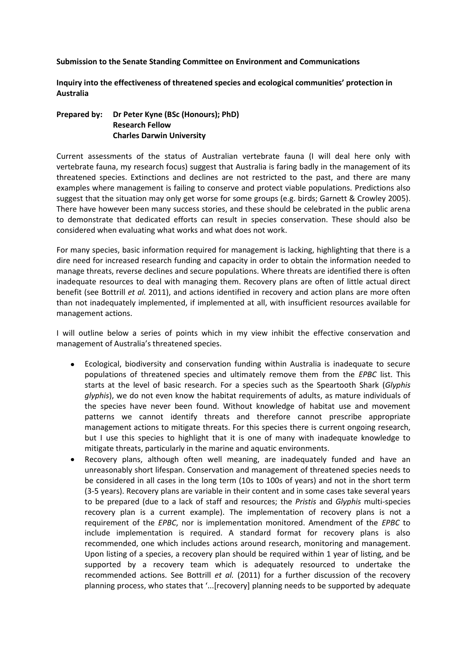**Submission to the Senate Standing Committee on Environment and Communications**

**Inquiry into the effectiveness of threatened species and ecological communities' protection in Australia**

## **Prepared by: Dr Peter Kyne (BSc (Honours); PhD) Research Fellow Charles Darwin University**

Current assessments of the status of Australian vertebrate fauna (I will deal here only with vertebrate fauna, my research focus) suggest that Australia is faring badly in the management of its threatened species. Extinctions and declines are not restricted to the past, and there are many examples where management is failing to conserve and protect viable populations. Predictions also suggest that the situation may only get worse for some groups (e.g. birds; Garnett & Crowley 2005). There have however been many success stories, and these should be celebrated in the public arena to demonstrate that dedicated efforts can result in species conservation. These should also be considered when evaluating what works and what does not work.

For many species, basic information required for management is lacking, highlighting that there is a dire need for increased research funding and capacity in order to obtain the information needed to manage threats, reverse declines and secure populations. Where threats are identified there is often inadequate resources to deal with managing them. Recovery plans are often of little actual direct benefit (see Bottrill *et al.* 2011), and actions identified in recovery and action plans are more often than not inadequately implemented, if implemented at all, with insufficient resources available for management actions.

I will outline below a series of points which in my view inhibit the effective conservation and management of Australia's threatened species.

- Ecological, biodiversity and conservation funding within Australia is inadequate to secure populations of threatened species and ultimately remove them from the *EPBC* list. This starts at the level of basic research. For a species such as the Speartooth Shark (*Glyphis glyphis*), we do not even know the habitat requirements of adults, as mature individuals of the species have never been found. Without knowledge of habitat use and movement patterns we cannot identify threats and therefore cannot prescribe appropriate management actions to mitigate threats. For this species there is current ongoing research, but I use this species to highlight that it is one of many with inadequate knowledge to mitigate threats, particularly in the marine and aquatic environments.
- Recovery plans, although often well meaning, are inadequately funded and have an  $\bullet$ unreasonably short lifespan. Conservation and management of threatened species needs to be considered in all cases in the long term (10s to 100s of years) and not in the short term (3-5 years). Recovery plans are variable in their content and in some cases take several years to be prepared (due to a lack of staff and resources; the *Pristis* and *Glyphis* multi-species recovery plan is a current example). The implementation of recovery plans is not a requirement of the *EPBC*, nor is implementation monitored. Amendment of the *EPBC* to include implementation is required. A standard format for recovery plans is also recommended, one which includes actions around research, monitoring and management. Upon listing of a species, a recovery plan should be required within 1 year of listing, and be supported by a recovery team which is adequately resourced to undertake the recommended actions. See Bottrill *et al.* (2011) for a further discussion of the recovery planning process, who states that '...[recovery] planning needs to be supported by adequate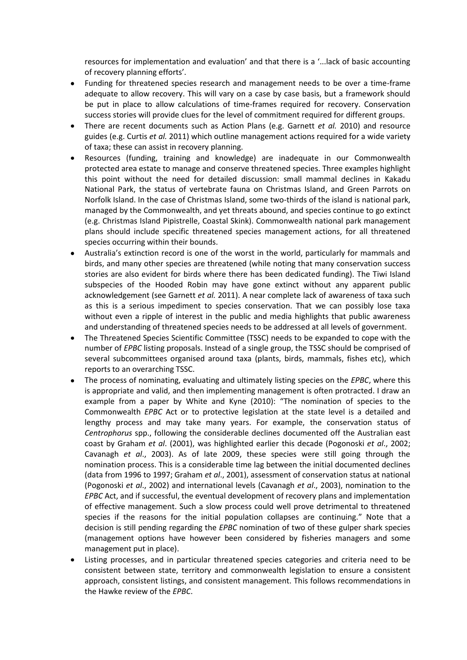resources for implementation and evaluation' and that there is a '...lack of basic accounting of recovery planning efforts'.

- Funding for threatened species research and management needs to be over a time-frame  $\bullet$ adequate to allow recovery. This will vary on a case by case basis, but a framework should be put in place to allow calculations of time-frames required for recovery. Conservation success stories will provide clues for the level of commitment required for different groups.
- There are recent documents such as Action Plans (e.g. Garnett *et al.* 2010) and resource  $\bullet$ guides (e.g. Curtis *et al.* 2011) which outline management actions required for a wide variety of taxa; these can assist in recovery planning.
- Resources (funding, training and knowledge) are inadequate in our Commonwealth protected area estate to manage and conserve threatened species. Three examples highlight this point without the need for detailed discussion: small mammal declines in Kakadu National Park, the status of vertebrate fauna on Christmas Island, and Green Parrots on Norfolk Island. In the case of Christmas Island, some two-thirds of the island is national park, managed by the Commonwealth, and yet threats abound, and species continue to go extinct (e.g. Christmas Island Pipistrelle, Coastal Skink). Commonwealth national park management plans should include specific threatened species management actions, for all threatened species occurring within their bounds.
- Australia's extinction record is one of the worst in the world, particularly for mammals and birds, and many other species are threatened (while noting that many conservation success stories are also evident for birds where there has been dedicated funding). The Tiwi Island subspecies of the Hooded Robin may have gone extinct without any apparent public acknowledgement (see Garnett *et al.* 2011). A near complete lack of awareness of taxa such as this is a serious impediment to species conservation. That we can possibly lose taxa without even a ripple of interest in the public and media highlights that public awareness and understanding of threatened species needs to be addressed at all levels of government.
- The Threatened Species Scientific Committee (TSSC) needs to be expanded to cope with the  $\bullet$ number of *EPBC* listing proposals. Instead of a single group, the TSSC should be comprised of several subcommittees organised around taxa (plants, birds, mammals, fishes etc), which reports to an overarching TSSC.
- The process of nominating, evaluating and ultimately listing species on the *EPBC*, where this is appropriate and valid, and then implementing management is often protracted. I draw an example from a paper by White and Kyne (2010): "The nomination of species to the Commonwealth *EPBC* Act or to protective legislation at the state level is a detailed and lengthy process and may take many years. For example, the conservation status of *Centrophorus* spp., following the considerable declines documented off the Australian east coast by Graham *et al*. (2001), was highlighted earlier this decade (Pogonoski *et al*., 2002; Cavanagh *et al*., 2003). As of late 2009, these species were still going through the nomination process. This is a considerable time lag between the initial documented declines (data from 1996 to 1997; Graham *et al*., 2001), assessment of conservation status at national (Pogonoski *et al*., 2002) and international levels (Cavanagh *et al*., 2003), nomination to the *EPBC* Act, and if successful, the eventual development of recovery plans and implementation of effective management. Such a slow process could well prove detrimental to threatened species if the reasons for the initial population collapses are continuing." Note that a decision is still pending regarding the *EPBC* nomination of two of these gulper shark species (management options have however been considered by fisheries managers and some management put in place).
- Listing processes, and in particular threatened species categories and criteria need to be consistent between state, territory and commonwealth legislation to ensure a consistent approach, consistent listings, and consistent management. This follows recommendations in the Hawke review of the *EPBC*.